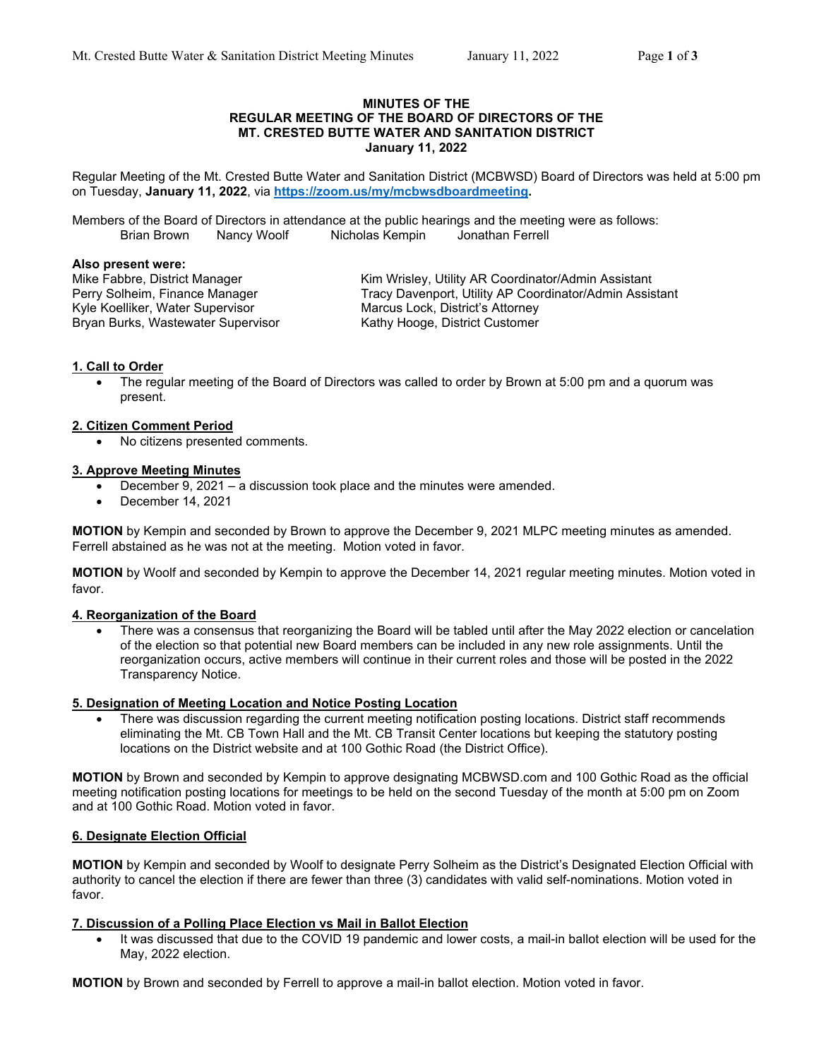#### **MINUTES OF THE REGULAR MEETING OF THE BOARD OF DIRECTORS OF THE MT. CRESTED BUTTE WATER AND SANITATION DISTRICT January 11, 2022**

Regular Meeting of the Mt. Crested Butte Water and Sanitation District (MCBWSD) Board of Directors was held at 5:00 pm on Tuesday, **January 11, 2022**, via **https://zoom.us/my/mcbwsdboardmeeting.**

Members of the Board of Directors in attendance at the public hearings and the meeting were as follows: Brian Brown Nancy Woolf Nicholas Kempin Jonathan Ferrell

#### **Also present were:**

Kyle Koelliker, Water Supervisor **Marcus Lock, District's Attorney**<br>Bryan Burks, Wastewater Supervisor **Marcus Kathy Hooge, District Customer** Bryan Burks, Wastewater Supervisor

Mike Fabbre, District Manager Kim Wrisley, Utility AR Coordinator/Admin Assistant Perry Solheim, Finance Manager Tracy Davenport, Utility AP Coordinator/Admin Assistant

## **1. Call to Order**

 The regular meeting of the Board of Directors was called to order by Brown at 5:00 pm and a quorum was present.

### **2. Citizen Comment Period**

No citizens presented comments.

### **3. Approve Meeting Minutes**

- December 9, 2021 a discussion took place and the minutes were amended.
- December 14, 2021

**MOTION** by Kempin and seconded by Brown to approve the December 9, 2021 MLPC meeting minutes as amended. Ferrell abstained as he was not at the meeting. Motion voted in favor.

**MOTION** by Woolf and seconded by Kempin to approve the December 14, 2021 regular meeting minutes. Motion voted in favor.

#### **4. Reorganization of the Board**

 There was a consensus that reorganizing the Board will be tabled until after the May 2022 election or cancelation of the election so that potential new Board members can be included in any new role assignments. Until the reorganization occurs, active members will continue in their current roles and those will be posted in the 2022 Transparency Notice.

#### **5. Designation of Meeting Location and Notice Posting Location**

 There was discussion regarding the current meeting notification posting locations. District staff recommends eliminating the Mt. CB Town Hall and the Mt. CB Transit Center locations but keeping the statutory posting locations on the District website and at 100 Gothic Road (the District Office).

**MOTION** by Brown and seconded by Kempin to approve designating MCBWSD.com and 100 Gothic Road as the official meeting notification posting locations for meetings to be held on the second Tuesday of the month at 5:00 pm on Zoom and at 100 Gothic Road. Motion voted in favor.

## **6. Designate Election Official**

**MOTION** by Kempin and seconded by Woolf to designate Perry Solheim as the District's Designated Election Official with authority to cancel the election if there are fewer than three (3) candidates with valid self-nominations. Motion voted in favor.

#### **7. Discussion of a Polling Place Election vs Mail in Ballot Election**

 It was discussed that due to the COVID 19 pandemic and lower costs, a mail-in ballot election will be used for the May, 2022 election.

**MOTION** by Brown and seconded by Ferrell to approve a mail-in ballot election. Motion voted in favor.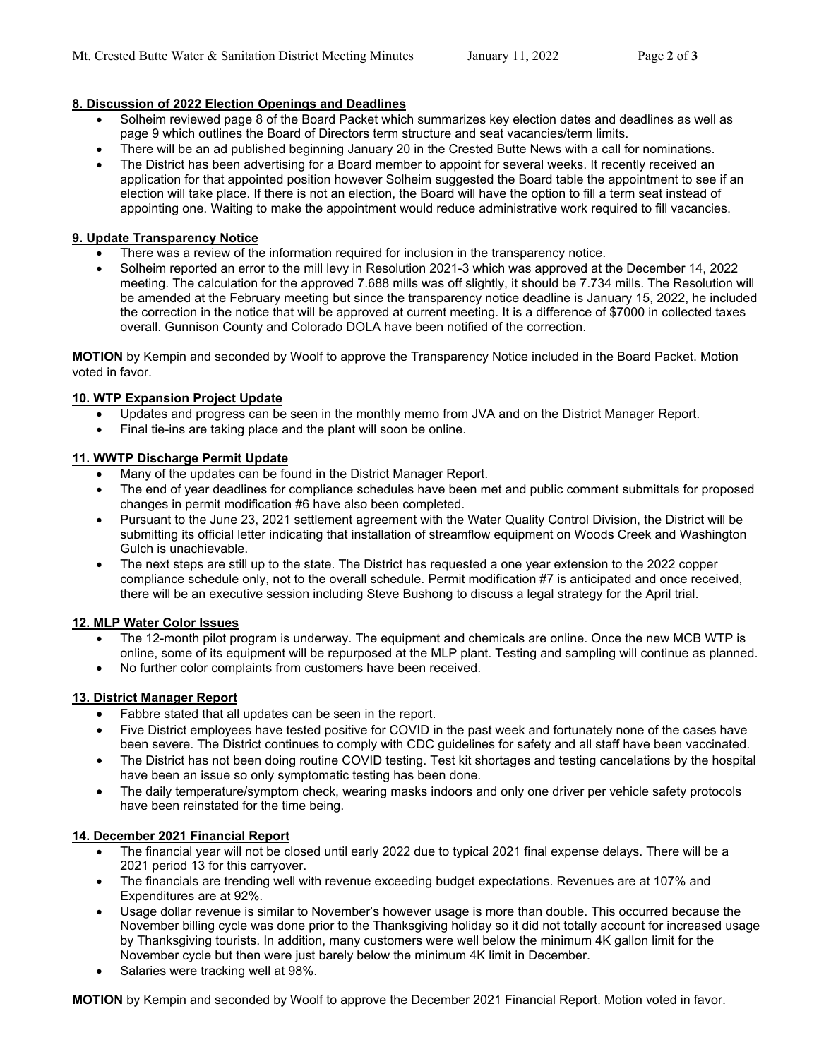# **8. Discussion of 2022 Election Openings and Deadlines**

- Solheim reviewed page 8 of the Board Packet which summarizes key election dates and deadlines as well as page 9 which outlines the Board of Directors term structure and seat vacancies/term limits.
- There will be an ad published beginning January 20 in the Crested Butte News with a call for nominations.
- The District has been advertising for a Board member to appoint for several weeks. It recently received an application for that appointed position however Solheim suggested the Board table the appointment to see if an election will take place. If there is not an election, the Board will have the option to fill a term seat instead of appointing one. Waiting to make the appointment would reduce administrative work required to fill vacancies.

## **9. Update Transparency Notice**

- There was a review of the information required for inclusion in the transparency notice.
- Solheim reported an error to the mill levy in Resolution 2021-3 which was approved at the December 14, 2022 meeting. The calculation for the approved 7.688 mills was off slightly, it should be 7.734 mills. The Resolution will be amended at the February meeting but since the transparency notice deadline is January 15, 2022, he included the correction in the notice that will be approved at current meeting. It is a difference of \$7000 in collected taxes overall. Gunnison County and Colorado DOLA have been notified of the correction.

**MOTION** by Kempin and seconded by Woolf to approve the Transparency Notice included in the Board Packet. Motion voted in favor.

## **10. WTP Expansion Project Update**

- Updates and progress can be seen in the monthly memo from JVA and on the District Manager Report.
- Final tie-ins are taking place and the plant will soon be online.

## **11. WWTP Discharge Permit Update**

- Many of the updates can be found in the District Manager Report.
- The end of year deadlines for compliance schedules have been met and public comment submittals for proposed changes in permit modification #6 have also been completed.
- Pursuant to the June 23, 2021 settlement agreement with the Water Quality Control Division, the District will be submitting its official letter indicating that installation of streamflow equipment on Woods Creek and Washington Gulch is unachievable.
- The next steps are still up to the state. The District has requested a one year extension to the 2022 copper compliance schedule only, not to the overall schedule. Permit modification #7 is anticipated and once received, there will be an executive session including Steve Bushong to discuss a legal strategy for the April trial.

## **12. MLP Water Color Issues**

- The 12-month pilot program is underway. The equipment and chemicals are online. Once the new MCB WTP is online, some of its equipment will be repurposed at the MLP plant. Testing and sampling will continue as planned.
- No further color complaints from customers have been received.

## **13. District Manager Report**

- Fabbre stated that all updates can be seen in the report.
- Five District employees have tested positive for COVID in the past week and fortunately none of the cases have been severe. The District continues to comply with CDC guidelines for safety and all staff have been vaccinated.
- The District has not been doing routine COVID testing. Test kit shortages and testing cancelations by the hospital have been an issue so only symptomatic testing has been done.
- The daily temperature/symptom check, wearing masks indoors and only one driver per vehicle safety protocols have been reinstated for the time being.

## **14. December 2021 Financial Report**

- The financial year will not be closed until early 2022 due to typical 2021 final expense delays. There will be a 2021 period 13 for this carryover.
- The financials are trending well with revenue exceeding budget expectations. Revenues are at 107% and Expenditures are at 92%.
- Usage dollar revenue is similar to November's however usage is more than double. This occurred because the November billing cycle was done prior to the Thanksgiving holiday so it did not totally account for increased usage by Thanksgiving tourists. In addition, many customers were well below the minimum 4K gallon limit for the November cycle but then were just barely below the minimum 4K limit in December.
- Salaries were tracking well at 98%.

**MOTION** by Kempin and seconded by Woolf to approve the December 2021 Financial Report. Motion voted in favor.